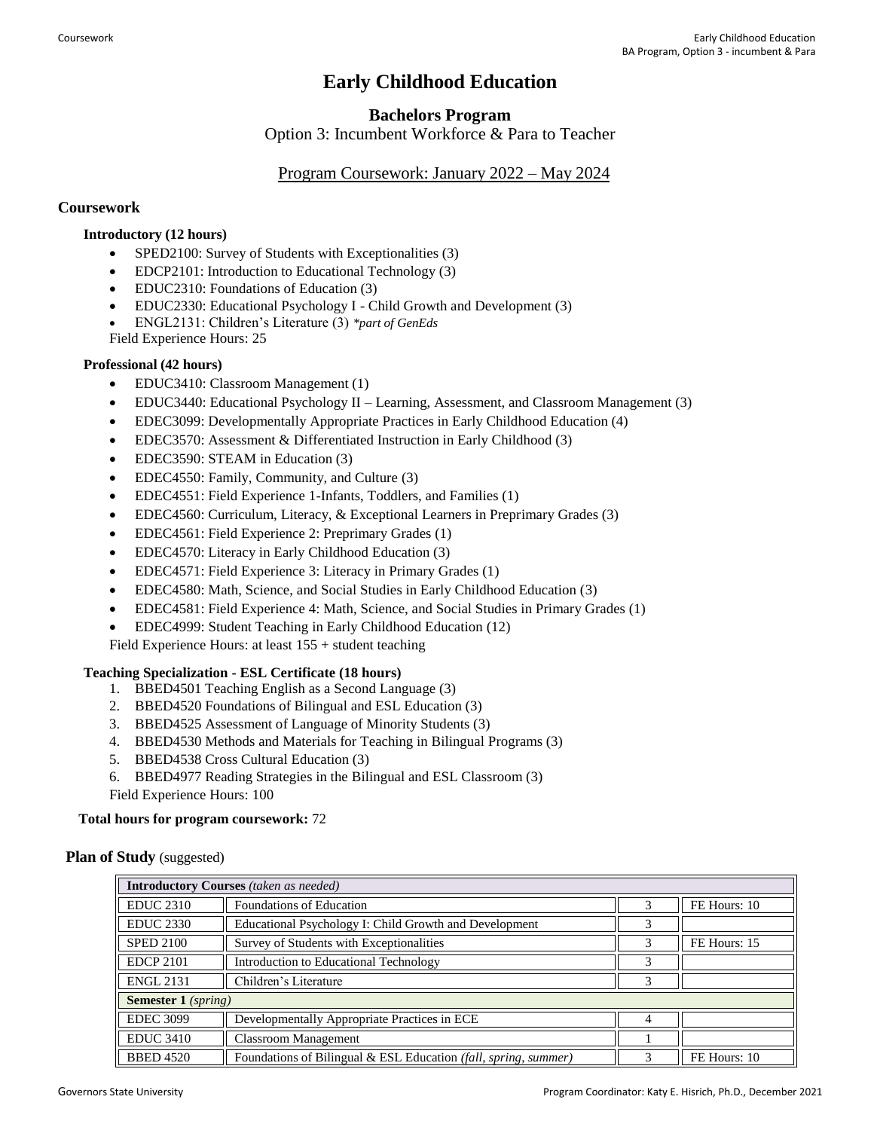# **Early Childhood Education**

# **Bachelors Program**

Option 3: Incumbent Workforce & Para to Teacher

## Program Coursework: January 2022 – May 2024

### **Coursework**

### **Introductory (12 hours)**

- SPED2100: Survey of Students with Exceptionalities (3)
- EDCP2101: Introduction to Educational Technology (3)
- EDUC2310: Foundations of Education (3)
- EDUC2330: Educational Psychology I Child Growth and Development (3)
- ENGL2131: Children's Literature (3) *\*part of GenEds*
- Field Experience Hours: 25

#### **Professional (42 hours)**

- EDUC3410: Classroom Management (1)
- EDUC3440: Educational Psychology II Learning, Assessment, and Classroom Management (3)
- EDEC3099: Developmentally Appropriate Practices in Early Childhood Education (4)
- EDEC3570: Assessment & Differentiated Instruction in Early Childhood (3)
- EDEC3590: STEAM in Education (3)
- EDEC4550: Family, Community, and Culture (3)
- EDEC4551: Field Experience 1-Infants, Toddlers, and Families (1)
- EDEC4560: Curriculum, Literacy, & Exceptional Learners in Preprimary Grades (3)
- EDEC4561: Field Experience 2: Preprimary Grades (1)
- EDEC4570: Literacy in Early Childhood Education (3)
- EDEC4571: Field Experience 3: Literacy in Primary Grades (1)
- EDEC4580: Math, Science, and Social Studies in Early Childhood Education (3)
- EDEC4581: Field Experience 4: Math, Science, and Social Studies in Primary Grades (1)
- EDEC4999: Student Teaching in Early Childhood Education (12)

Field Experience Hours: at least 155 + student teaching

#### **Teaching Specialization - ESL Certificate (18 hours)**

- 1. BBED4501 Teaching English as a Second Language (3)
- 2. BBED4520 Foundations of Bilingual and ESL Education (3)
- 3. BBED4525 Assessment of Language of Minority Students (3)
- 4. BBED4530 Methods and Materials for Teaching in Bilingual Programs (3)
- 5. BBED4538 Cross Cultural Education (3)

6. BBED4977 Reading Strategies in the Bilingual and ESL Classroom (3)

Field Experience Hours: 100

#### **Total hours for program coursework:** 72

#### **Plan of Study** (suggested)

| <b>Introductory Courses</b> (taken as needed) |                                                                 |   |              |  |
|-----------------------------------------------|-----------------------------------------------------------------|---|--------------|--|
| <b>EDUC 2310</b>                              | Foundations of Education                                        |   | FE Hours: 10 |  |
| <b>EDUC 2330</b>                              | Educational Psychology I: Child Growth and Development          | 3 |              |  |
| <b>SPED 2100</b>                              | Survey of Students with Exceptionalities                        |   | FE Hours: 15 |  |
| <b>EDCP 2101</b>                              | Introduction to Educational Technology                          | 3 |              |  |
| <b>ENGL 2131</b>                              | Children's Literature                                           | 3 |              |  |
| <b>Semester 1</b> (spring)                    |                                                                 |   |              |  |
| <b>EDEC 3099</b>                              | Developmentally Appropriate Practices in ECE                    | 4 |              |  |
| <b>EDUC 3410</b>                              | <b>Classroom Management</b>                                     |   |              |  |
| <b>BBED 4520</b>                              | Foundations of Bilingual & ESL Education (fall, spring, summer) |   | FE Hours: 10 |  |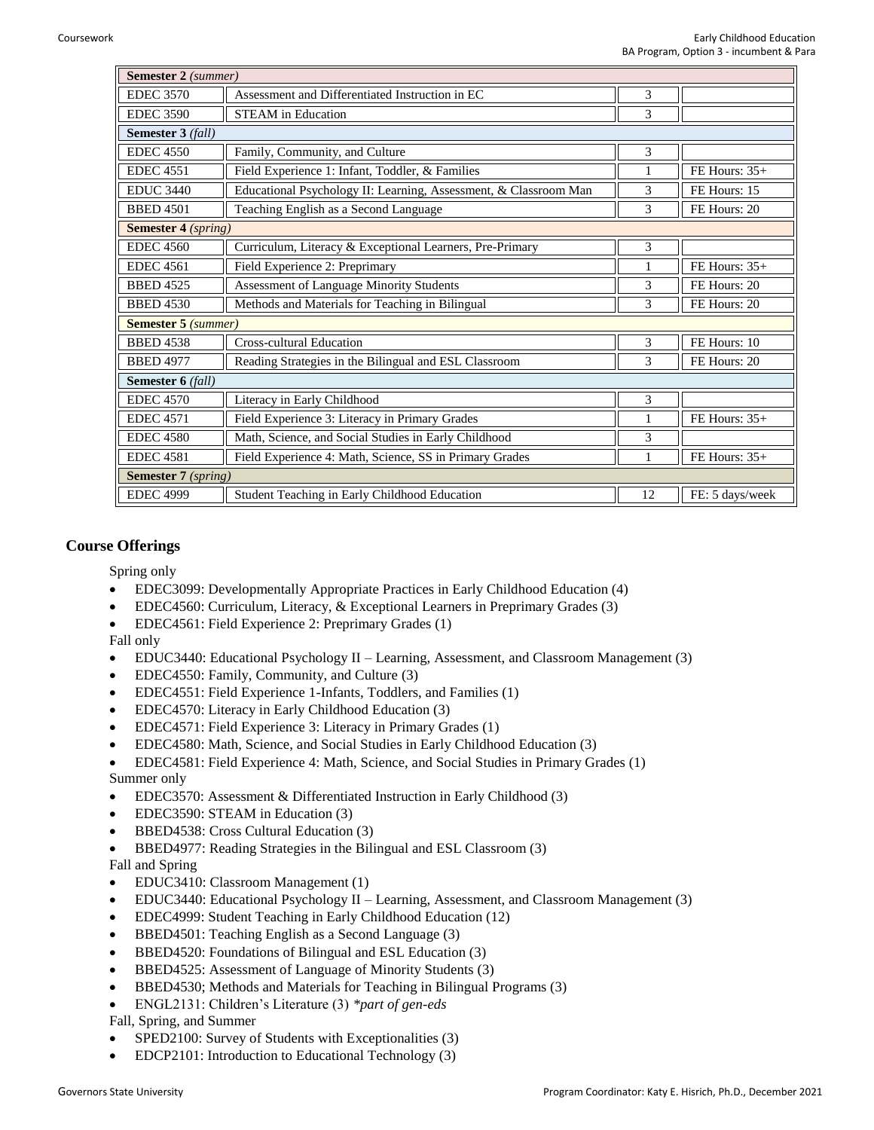| Semester 2 (summer)        |                                                                  |    |                 |  |
|----------------------------|------------------------------------------------------------------|----|-----------------|--|
| <b>EDEC 3570</b>           | Assessment and Differentiated Instruction in EC                  | 3  |                 |  |
| <b>EDEC 3590</b>           | <b>STEAM</b> in Education                                        | 3  |                 |  |
| <b>Semester 3 (fall)</b>   |                                                                  |    |                 |  |
| <b>EDEC</b> 4550           | Family, Community, and Culture                                   | 3  |                 |  |
| <b>EDEC 4551</b>           | Field Experience 1: Infant, Toddler, & Families                  |    | FE Hours: $35+$ |  |
| <b>EDUC 3440</b>           | Educational Psychology II: Learning, Assessment, & Classroom Man | 3  | FE Hours: 15    |  |
| <b>BBED 4501</b>           | Teaching English as a Second Language                            | 3  | FE Hours: 20    |  |
| <b>Semester 4 (spring)</b> |                                                                  |    |                 |  |
| <b>EDEC</b> 4560           | Curriculum, Literacy & Exceptional Learners, Pre-Primary         | 3  |                 |  |
| <b>EDEC</b> 4561           | Field Experience 2: Preprimary                                   |    | FE Hours: $35+$ |  |
| <b>BBED 4525</b>           | Assessment of Language Minority Students                         | 3  | FE Hours: 20    |  |
| <b>BBED 4530</b>           | Methods and Materials for Teaching in Bilingual                  | 3  | FE Hours: 20    |  |
| <b>Semester 5</b> (summer) |                                                                  |    |                 |  |
| <b>BBED 4538</b>           | <b>Cross-cultural Education</b>                                  | 3  | FE Hours: 10    |  |
| <b>BBED 4977</b>           | Reading Strategies in the Bilingual and ESL Classroom            | 3  | FE Hours: 20    |  |
| Semester 6 (fall)          |                                                                  |    |                 |  |
| <b>EDEC</b> 4570           | Literacy in Early Childhood                                      | 3  |                 |  |
| <b>EDEC</b> 4571           | Field Experience 3: Literacy in Primary Grades                   | 1  | FE Hours: $35+$ |  |
| <b>EDEC 4580</b>           | Math, Science, and Social Studies in Early Childhood             | 3  |                 |  |
| <b>EDEC 4581</b>           | Field Experience 4: Math, Science, SS in Primary Grades          | 1  | FE Hours: 35+   |  |
| <b>Semester 7</b> (spring) |                                                                  |    |                 |  |
| <b>EDEC 4999</b>           | Student Teaching in Early Childhood Education                    | 12 | FE: 5 days/week |  |

#### **Course Offerings**

Spring only

- EDEC3099: Developmentally Appropriate Practices in Early Childhood Education (4)
- EDEC4560: Curriculum, Literacy, & Exceptional Learners in Preprimary Grades (3)
- EDEC4561: Field Experience 2: Preprimary Grades (1)

#### Fall only

- EDUC3440: Educational Psychology II Learning, Assessment, and Classroom Management (3)
- EDEC4550: Family, Community, and Culture (3)
- EDEC4551: Field Experience 1-Infants, Toddlers, and Families (1)
- EDEC4570: Literacy in Early Childhood Education (3)
- EDEC4571: Field Experience 3: Literacy in Primary Grades (1)
- EDEC4580: Math, Science, and Social Studies in Early Childhood Education (3)
- EDEC4581: Field Experience 4: Math, Science, and Social Studies in Primary Grades (1)
- Summer only
- EDEC3570: Assessment & Differentiated Instruction in Early Childhood (3)
- EDEC3590: STEAM in Education (3)
- BBED4538: Cross Cultural Education (3)
- BBED4977: Reading Strategies in the Bilingual and ESL Classroom (3)

Fall and Spring

- EDUC3410: Classroom Management (1)
- EDUC3440: Educational Psychology II Learning, Assessment, and Classroom Management (3)
- EDEC4999: Student Teaching in Early Childhood Education (12)
- BBED4501: Teaching English as a Second Language (3)
- BBED4520: Foundations of Bilingual and ESL Education (3)
- BBED4525: Assessment of Language of Minority Students (3)
- BBED4530; Methods and Materials for Teaching in Bilingual Programs (3)
- ENGL2131: Children's Literature (3) *\*part of gen-eds*

Fall, Spring, and Summer

- SPED2100: Survey of Students with Exceptionalities (3)
- EDCP2101: Introduction to Educational Technology (3)